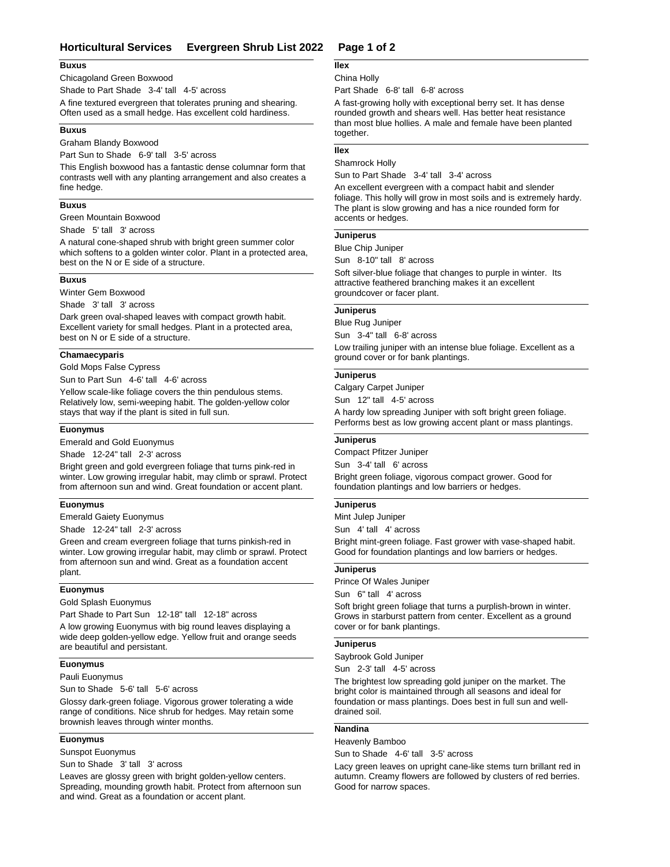# **Horticultural Services Evergreen Shrub List 2022 Page 1 of 2**

## **Buxus**

Chicagoland Green Boxwood

Shade to Part Shade 3-4' tall 4-5' across

A fine textured evergreen that tolerates pruning and shearing. Often used as a small hedge. Has excellent cold hardiness.

## **Buxus**

Graham Blandy Boxwood

Part Sun to Shade 6-9' tall 3-5' across

This English boxwood has a fantastic dense columnar form that contrasts well with any planting arrangement and also creates a fine hedge.

## **Buxus**

Green Mountain Boxwood

Shade 5' tall 3' across

A natural cone-shaped shrub with bright green summer color which softens to a golden winter color. Plant in a protected area, best on the N or E side of a structure.

# **Buxus**

Winter Gem Boxwood

Shade 3' tall 3' across

Dark green oval-shaped leaves with compact growth habit. Excellent variety for small hedges. Plant in a protected area, best on N or E side of a structure.

## **Chamaecyparis**

Gold Mops False Cypress

Sun to Part Sun 4-6' tall 4-6' across

Yellow scale-like foliage covers the thin pendulous stems. Relatively low, semi-weeping habit. The golden-yellow color stays that way if the plant is sited in full sun.

# **Euonymus**

Emerald and Gold Euonymus

Shade 12-24" tall 2-3' across

Bright green and gold evergreen foliage that turns pink-red in winter. Low growing irregular habit, may climb or sprawl. Protect from afternoon sun and wind. Great foundation or accent plant.

#### **Euonymus**

Emerald Gaiety Euonymus

Shade 12-24" tall 2-3' across

Green and cream evergreen foliage that turns pinkish-red in winter. Low growing irregular habit, may climb or sprawl. Protect from afternoon sun and wind. Great as a foundation accent plant.

### **Euonymus**

Gold Splash Euonymus

Part Shade to Part Sun 12-18" tall 12-18" across

A low growing Euonymus with big round leaves displaying a wide deep golden-yellow edge. Yellow fruit and orange seeds are beautiful and persistant.

#### **Euonymus**

Pauli Euonymus

Sun to Shade 5-6' tall 5-6' across

Glossy dark-green foliage. Vigorous grower tolerating a wide range of conditions. Nice shrub for hedges. May retain some brownish leaves through winter months.

## **Euonymus**

Sunspot Euonymus

Sun to Shade 3' tall 3' across

Leaves are glossy green with bright golden-yellow centers. Spreading, mounding growth habit. Protect from afternoon sun and wind. Great as a foundation or accent plant.

# **Ilex**

## China Holly

Part Shade 6-8' tall 6-8' across

A fast-growing holly with exceptional berry set. It has dense rounded growth and shears well. Has better heat resistance than most blue hollies. A male and female have been planted together.

# **Ilex**

Shamrock Holly Sun to Part Shade 3-4' tall 3-4' across

An excellent evergreen with a compact habit and slender foliage. This holly will grow in most soils and is extremely hardy. The plant is slow growing and has a nice rounded form for accents or hedges.

## **Juniperus**

Blue Chip Juniper

Sun 8-10" tall 8' across

Soft silver-blue foliage that changes to purple in winter. Its attractive feathered branching makes it an excellent groundcover or facer plant.

# **Juniperus**

Blue Rug Juniper

Sun 3-4" tall 6-8' across Low trailing juniper with an intense blue foliage. Excellent as a ground cover or for bank plantings.

# **Juniperus**

Calgary Carpet Juniper

Sun 12" tall 4-5' across

A hardy low spreading Juniper with soft bright green foliage. Performs best as low growing accent plant or mass plantings.

# **Juniperus**

Compact Pfitzer Juniper

Sun 3-4' tall 6' across

Bright green foliage, vigorous compact grower. Good for foundation plantings and low barriers or hedges.

#### **Juniperus**

Mint Julep Juniper

Sun 4' tall 4' across

Bright mint-green foliage. Fast grower with vase-shaped habit. Good for foundation plantings and low barriers or hedges.

# **Juniperus**

Prince Of Wales Juniper

Sun 6" tall 4' across

Soft bright green foliage that turns a purplish-brown in winter. Grows in starburst pattern from center. Excellent as a ground cover or for bank plantings.

#### **Juniperus**

Saybrook Gold Juniper

Sun 2-3' tall 4-5' across

The brightest low spreading gold juniper on the market. The bright color is maintained through all seasons and ideal for foundation or mass plantings. Does best in full sun and welldrained soil.

## **Nandina**

Heavenly Bamboo

Sun to Shade 4-6' tall 3-5' across

Lacy green leaves on upright cane-like stems turn brillant red in autumn. Creamy flowers are followed by clusters of red berries. Good for narrow spaces.